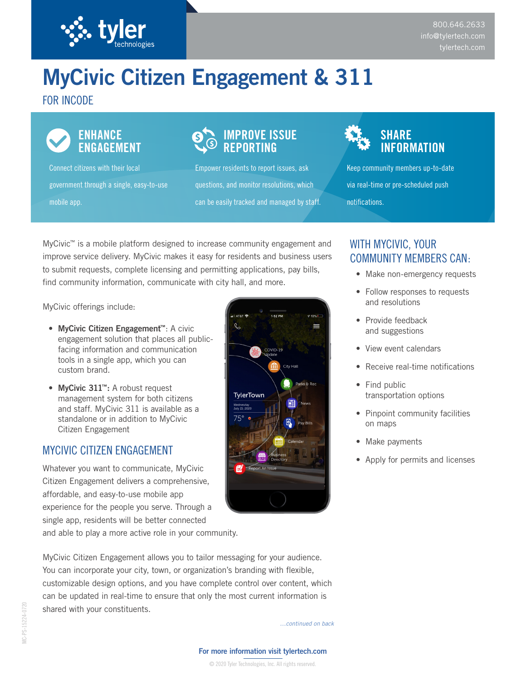

# **MyCivic Citizen Engagement & 311**

## FOR INCODE



## **ENHANCE ENGAGEMENT**

Connect citizens with their local government through a single, easy-to-use mobile app.

# **IMPROVE ISSUE REPORTING**

Empower residents to report issues, ask questions, and monitor resolutions, which can be easily tracked and managed by staff.



Keep community members up-to-date via real-time or pre-scheduled push notifications.

MyCivic™ is a mobile platform designed to increase community engagement and improve service delivery. MyCivic makes it easy for residents and business users to submit requests, complete licensing and permitting applications, pay bills, find community information, communicate with city hall, and more.

MyCivic offerings include:

- **• MyCivic Citizen Engagement™**: A civic engagement solution that places all publicfacing information and communication tools in a single app, which you can custom brand.
- **• MyCivic 311™:** A robust request management system for both citizens and staff. MyCivic 311 is available as a standalone or in addition to MyCivic Citizen Engagement

## MYCIVIC CITIZEN ENGAGEMENT

Whatever you want to communicate, MyCivic Citizen Engagement delivers a comprehensive, affordable, and easy-to-use mobile app experience for the people you serve. Through a single app, residents will be better connected



## WITH MYCIVIC, YOUR COMMUNITY MEMBERS CAN:

- Make non-emergency requests
- Follow responses to requests and resolutions
- Provide feedback and suggestions
- View event calendars
- Receive real-time notifications
- Find public transportation options
- Pinpoint community facilities on maps
- Make payments
- Apply for permits and licenses

and able to play a more active role in your community.

MyCivic Citizen Engagement allows you to tailor messaging for your audience. You can incorporate your city, town, or organization's branding with flexible, customizable design options, and you have complete control over content, which can be updated in real-time to ensure that only the most current information is shared with your constituents.

*…continued on back*